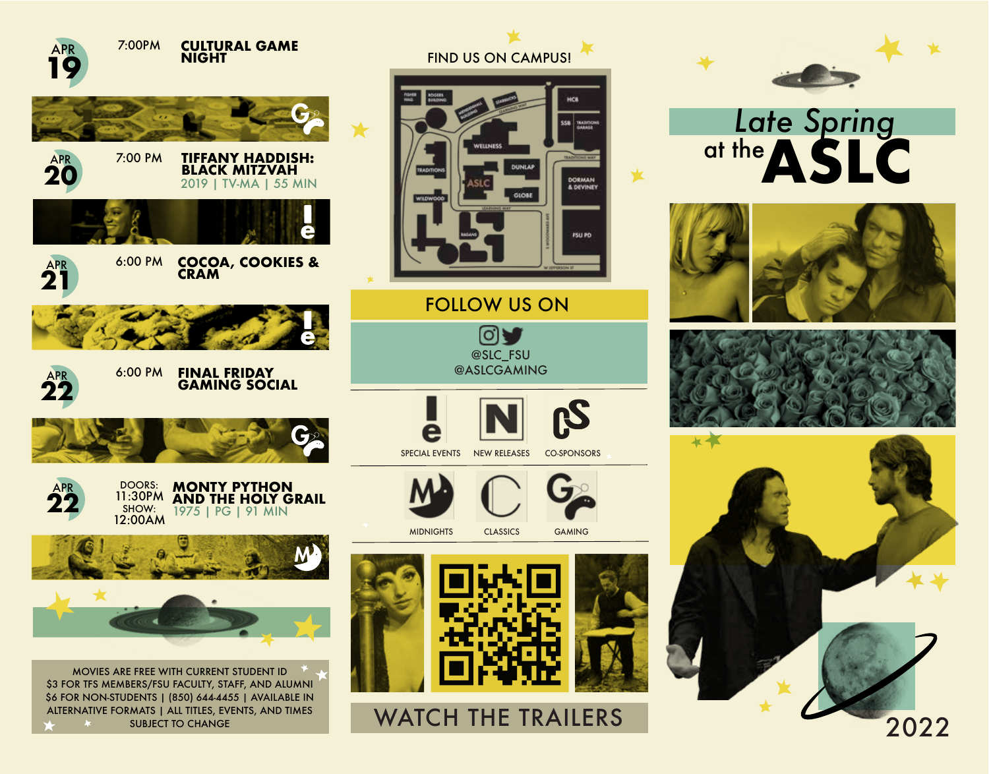